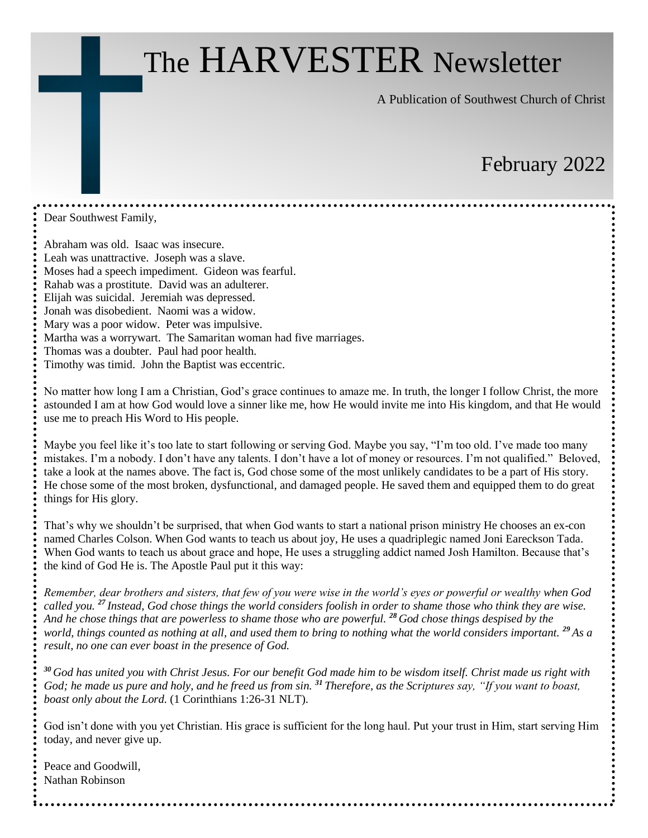# The HARVESTER Newsletter

A Publication of Southwest Church of Christ

# February 2022

Dear Southwest Family,

Abraham was old. Isaac was insecure. Leah was unattractive. Joseph was a slave. Moses had a speech impediment. Gideon was fearful. Rahab was a prostitute. David was an adulterer. Elijah was suicidal. Jeremiah was depressed. Jonah was disobedient. Naomi was a widow. Mary was a poor widow. Peter was impulsive. Martha was a worrywart. The Samaritan woman had five marriages. Thomas was a doubter. Paul had poor health.

Timothy was timid. John the Baptist was eccentric.

No matter how long I am a Christian, God's grace continues to amaze me. In truth, the longer I follow Christ, the more astounded I am at how God would love a sinner like me, how He would invite me into His kingdom, and that He would use me to preach His Word to His people.

Maybe you feel like it's too late to start following or serving God. Maybe you say, "I'm too old. I've made too many mistakes. I'm a nobody. I don't have any talents. I don't have a lot of money or resources. I'm not qualified." Beloved, take a look at the names above. The fact is, God chose some of the most unlikely candidates to be a part of His story. He chose some of the most broken, dysfunctional, and damaged people. He saved them and equipped them to do great things for His glory.

That's why we shouldn't be surprised, that when God wants to start a national prison ministry He chooses an ex-con named Charles Colson. When God wants to teach us about joy, He uses a quadriplegic named Joni Eareckson Tada. When God wants to teach us about grace and hope, He uses a struggling addict named Josh Hamilton. Because that's the kind of God He is. The Apostle Paul put it this way:

*Remember, dear brothers and sisters, that few of you were wise in the world's eyes or powerful or wealthy when God called you. <sup>27</sup> Instead, God chose things the world considers foolish in order to shame those who think they are wise. And he chose things that are powerless to shame those who are powerful. <sup>28</sup> God chose things despised by the world, things counted as nothing at all, and used them to bring to nothing what the world considers important. <sup>29</sup> As a result, no one can ever boast in the presence of God.*

*<sup>30</sup> God has united you with Christ Jesus. For our benefit God made him to be wisdom itself. Christ made us right with God; he made us pure and holy, and he freed us from sin. <sup>31</sup> Therefore, as the Scriptures say, "If you want to boast, boast only about the Lord.* (1 Corinthians 1:26-31 NLT).

God isn't done with you yet Christian. His grace is sufficient for the long haul. Put your trust in Him, start serving Him today, and never give up.

Peace and Goodwill, Nathan Robinson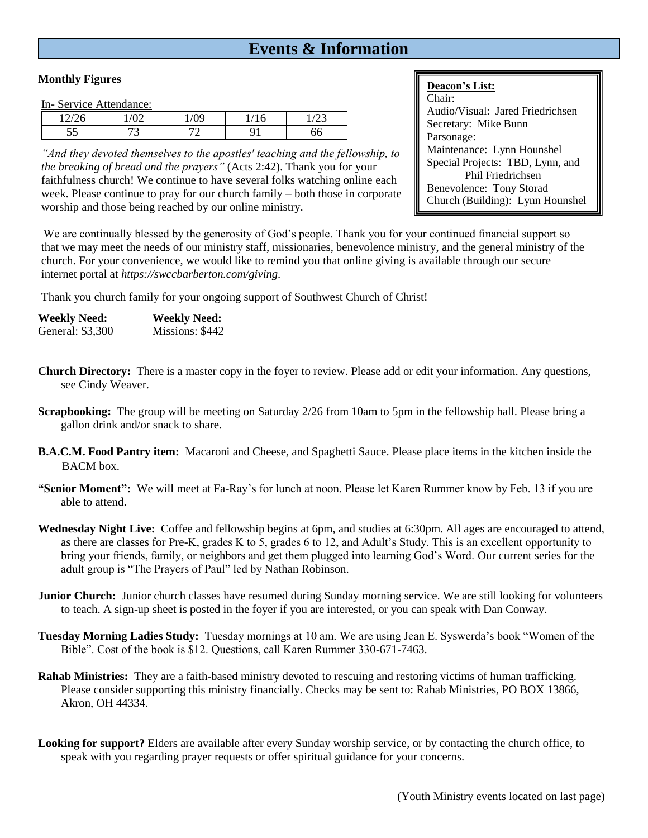## **Events & Information**

### **Monthly Figures**

In- Service Attendance:

| 10/2 | $\sqrt{2}$<br>◡ | ്റ്റ | $\sim$<br>r<br>ΙU        | $\sim$ |  |
|------|-----------------|------|--------------------------|--------|--|
| ັບ   | $\sim$<br>پ     | ⇁    | $\overline{\phantom{a}}$ | 66     |  |

*"And they devoted themselves to the apostles' teaching and the fellowship, to the breaking of bread and the prayers"* (Acts 2:42). Thank you for your faithfulness church! We continue to have several folks watching online each week. Please continue to pray for our church family – both those in corporate worship and those being reached by our online ministry.

### **Deacon's List:**

Chair: Audio/Visual: Jared Friedrichsen Secretary: Mike Bunn Parsonage: Maintenance: Lynn Hounshel Special Projects: TBD, Lynn, and Phil Friedrichsen Benevolence: Tony Storad Church (Building): Lynn Hounshel

We are continually blessed by the generosity of God's people. Thank you for your continued financial support so that we may meet the needs of our ministry staff, missionaries, benevolence ministry, and the general ministry of the church. For your convenience, we would like to remind you that online giving is available through our secure internet portal at *https://swccbarberton.com/giving.*

Thank you church family for your ongoing support of Southwest Church of Christ!

| <b>Weekly Need:</b> | <b>Weekly Need:</b> |
|---------------------|---------------------|
| General: \$3,300    | Missions: \$442     |

- **Church Directory:** There is a master copy in the foyer to review. Please add or edit your information. Any questions, see Cindy Weaver.
- **Scrapbooking:** The group will be meeting on Saturday 2/26 from 10am to 5pm in the fellowship hall. Please bring a gallon drink and/or snack to share.
- **B.A.C.M. Food Pantry item:** Macaroni and Cheese, and Spaghetti Sauce. Please place items in the kitchen inside the BACM box.
- **"Senior Moment":** We will meet at Fa-Ray's for lunch at noon. Please let Karen Rummer know by Feb. 13 if you are able to attend.
- **Wednesday Night Live:** Coffee and fellowship begins at 6pm, and studies at 6:30pm. All ages are encouraged to attend, as there are classes for Pre-K, grades K to 5, grades 6 to 12, and Adult's Study. This is an excellent opportunity to bring your friends, family, or neighbors and get them plugged into learning God's Word. Our current series for the adult group is "The Prayers of Paul" led by Nathan Robinson.
- **Junior Church:** Junior church classes have resumed during Sunday morning service. We are still looking for volunteers to teach. A sign-up sheet is posted in the foyer if you are interested, or you can speak with Dan Conway.
- **Tuesday Morning Ladies Study:** Tuesday mornings at 10 am. We are using Jean E. Syswerda's book "Women of the Bible". Cost of the book is \$12. Questions, call Karen Rummer 330-671-7463.
- **Rahab Ministries:** They are a faith-based ministry devoted to rescuing and restoring victims of human trafficking. Please consider supporting this ministry financially. Checks may be sent to: Rahab Ministries, PO BOX 13866, Akron, OH 44334.
- **Looking for support?** Elders are available after every Sunday worship service, or by contacting the church office, to speak with you regarding prayer requests or offer spiritual guidance for your concerns.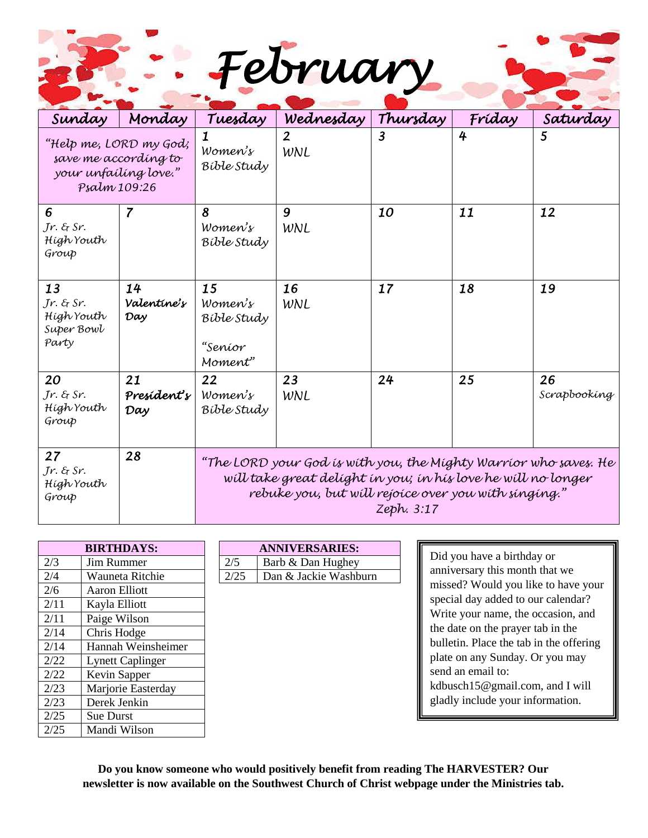|  | February |
|--|----------|
|  |          |

| Sunday                                                                                  | Monday                   | Tuesday                                                                                                                                                                                                 | Wednesday           | Thursday         | Fríday | Saturday           |  |
|-----------------------------------------------------------------------------------------|--------------------------|---------------------------------------------------------------------------------------------------------------------------------------------------------------------------------------------------------|---------------------|------------------|--------|--------------------|--|
| "Help me, LORD my God;<br>save me according to<br>your unfailing love."<br>Psalm 109:26 |                          | Women's<br>Bible Study                                                                                                                                                                                  | $\mathbf{2}$<br>WNL | $\boldsymbol{3}$ | 4      | 5                  |  |
| 6<br>Jr. & Sr.<br>Hígh Youth<br>Group                                                   | 7                        | 8<br>Women's<br>Bible Study                                                                                                                                                                             | 9<br>WNL            | 10               | 11     | 12                 |  |
| 13<br>$Jr.$ & Sr.<br>Hígh Youth<br>Super Bowl<br>Party                                  | 14<br>Valentine's<br>Day | 15<br>Women's<br>Bible Study<br>"Seníor<br>Moment"                                                                                                                                                      | 16<br>WNL           | 17               | 18     | 19                 |  |
| 20<br>Jr. & Sr.<br>Hígh Youth<br>Group                                                  | 21<br>President's<br>Day | 22<br>Women's<br>Bible Study                                                                                                                                                                            | 23<br>WNL           | 24               | 25     | 26<br>Scrapbooking |  |
| 27<br>Jr. & Sr.<br>Hígh Youth<br>Group                                                  | 28                       | "The LORD your God is with you, the Mighty Warrior who saves. He<br>will take great delight in you; in his love he will no longer<br>rebuke you, but will rejoice over you with singing."<br>Zeph. 3:17 |                     |                  |        |                    |  |

|      | <b>BIRTHDAYS:</b>       |      | <b>ANNIVERSARIES:</b> |
|------|-------------------------|------|-----------------------|
| 2/3  | Jim Rummer              | 2/5  | Barb & Dan Hughey     |
| 2/4  | Wauneta Ritchie         | 2/25 | Dan & Jackie Washburn |
| 2/6  | Aaron Elliott           |      |                       |
| 2/11 | Kayla Elliott           |      |                       |
| 2/11 | Paige Wilson            |      |                       |
| 2/14 | Chris Hodge             |      |                       |
| 2/14 | Hannah Weinsheimer      |      |                       |
| 2/22 | <b>Lynett Caplinger</b> |      |                       |
| 2/22 | Kevin Sapper            |      |                       |
| 2/23 | Marjorie Easterday      |      |                       |
| 2/23 | Derek Jenkin            |      |                       |
| 2/25 | Sue Durst               |      |                       |
| 2/25 | Mandi Wilson            |      |                       |

| <b>BIRTHDAYS:</b> |  | <b>ANNIVERSARIES:</b> |                                  |  |  |
|-------------------|--|-----------------------|----------------------------------|--|--|
| Jim Rummer        |  | 2/5                   | Barb & Dan Hughey                |  |  |
| Wounsto Ditchio   |  |                       | Dan <i>&amp;</i> Jackie Wachburn |  |  |

Did you have a birthday or anniversary this month that we missed? Would you like to have your special day added to our calendar? Write your name, the occasion, and the date on the prayer tab in the bulletin. Place the tab in the offering plate on any Sunday. Or you may send an email to: kdbusch15@gmail.com, and I will gladly include your information.

**Do you know someone who would positively benefit from reading The HARVESTER? Our newsletter is now available on the Southwest Church of Christ webpage under the Ministries tab.**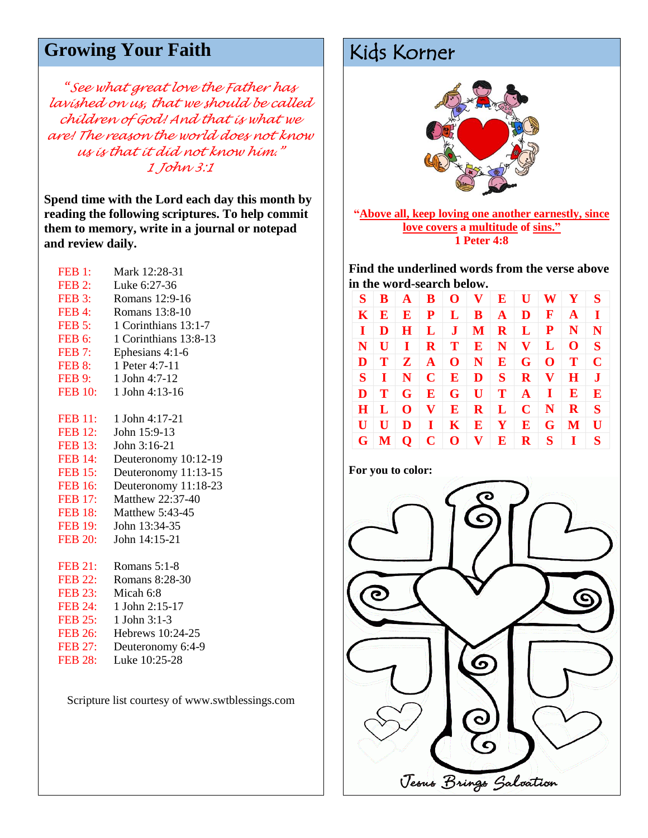# Growing Your Faith Kids Korner

*"See what great love the Father has lavished on us, that we should be called children of God! And that is what we are! The reason the world does not know us is that it did not know him." 1 John 3:1*

**Spend time with the Lord each day this month by reading the following scriptures. To help commit them to memory, write in a journal or notepad and review daily.**

| FEB 1:         | Mark 12:28-31          |
|----------------|------------------------|
| FEB 2:         | Luke 6:27-36           |
| FEB 3:         | Romans 12:9-16         |
| FEB 4:         | Romans 13:8-10         |
| FEB 5:         | 1 Corinthians 13:1-7   |
| FEB 6:         | 1 Corinthians 13:8-13  |
| <b>FEB 7:</b>  | Ephesians 4:1-6        |
| FEB 8:         | 1 Peter 4:7-11         |
| <b>FEB 9:</b>  | 1 John 4:7-12          |
| <b>FEB 10:</b> | 1 John 4:13-16         |
|                |                        |
|                | FEB 11: 1 John 4:17-21 |
| <b>FEB 12:</b> | John 15:9-13           |
| <b>FEB 13:</b> | John 3:16-21           |
| <b>FEB 14:</b> | Deuteronomy 10:12-19   |
| <b>FEB 15:</b> | Deuteronomy 11:13-15   |
| <b>FEB 16:</b> | Deuteronomy 11:18-23   |
| <b>FEB 17:</b> | Matthew 22:37-40       |
| <b>FEB 18:</b> | Matthew 5:43-45        |
| <b>FEB 19:</b> | John 13:34-35          |
| <b>FEB 20:</b> | John 14:15-21          |
|                |                        |
| <b>FEB 21:</b> | Romans $5:1-8$         |
| <b>FEB 22:</b> | Romans 8:28-30         |
| <b>FEB 23:</b> | Micah 6:8              |
| <b>FEB 24:</b> | 1 John 2:15-17         |
| <b>FEB 25:</b> | 1 John 3:1-3           |
| <b>FEB 26:</b> | Hebrews 10:24-25       |
| <b>FEB 27:</b> | Deuteronomy 6:4-9      |
| <b>FEB 28:</b> | Luke 10:25-28          |

Scripture list courtesy of www.swtblessings.com



**"Above all, keep loving one another earnestly, since love covers a multitude of sins." 1 Peter 4:8**

**Find the underlined words from the verse above in the word-search below.** 

|                           |  | $S$   $B$   $A$   $B$   $O$   $V$   $E$   $U$   $W$   $Y$   $S$                                                                                                                                                                |  |  |              |
|---------------------------|--|--------------------------------------------------------------------------------------------------------------------------------------------------------------------------------------------------------------------------------|--|--|--------------|
|                           |  | $K \mid E \mid E \mid P \mid L \mid B \mid A \mid D \mid F \mid A \mid I$                                                                                                                                                      |  |  |              |
|                           |  | $I   D   H   L   J   M   R   L   P   N   N$                                                                                                                                                                                    |  |  |              |
|                           |  | $N$   U   I   R   T   E   N   V   L   O   S                                                                                                                                                                                    |  |  |              |
|                           |  | $\mathbf{D} \parallel \mathbf{T} \parallel \mathbf{Z} \parallel \mathbf{A} \parallel \mathbf{O} \parallel \mathbf{N} \parallel \mathbf{E} \parallel \mathbf{G} \parallel \mathbf{O} \parallel \mathbf{T} \parallel$            |  |  | $\mathbf{C}$ |
|                           |  | $S$   I   N   C   E   D   S   R   V   H   J                                                                                                                                                                                    |  |  |              |
| $\mathbf{D}$ $\mathbf{T}$ |  |                                                                                                                                                                                                                                |  |  |              |
|                           |  | H L   0 V E R L C N R S                                                                                                                                                                                                        |  |  |              |
|                           |  | $\mathbf{U} \parallel \mathbf{U} \parallel \mathbf{D} \parallel \mathbf{I} \parallel \mathbf{K} \parallel \mathbf{E} \parallel \mathbf{Y} \parallel \mathbf{E} \parallel \mathbf{G} \parallel \mathbf{M} \parallel \mathbf{U}$ |  |  |              |
|                           |  | $G$ $M$ $Q$ $C$ $O$ $V$ $E$ $R$ $S$ $I$ $S$                                                                                                                                                                                    |  |  |              |